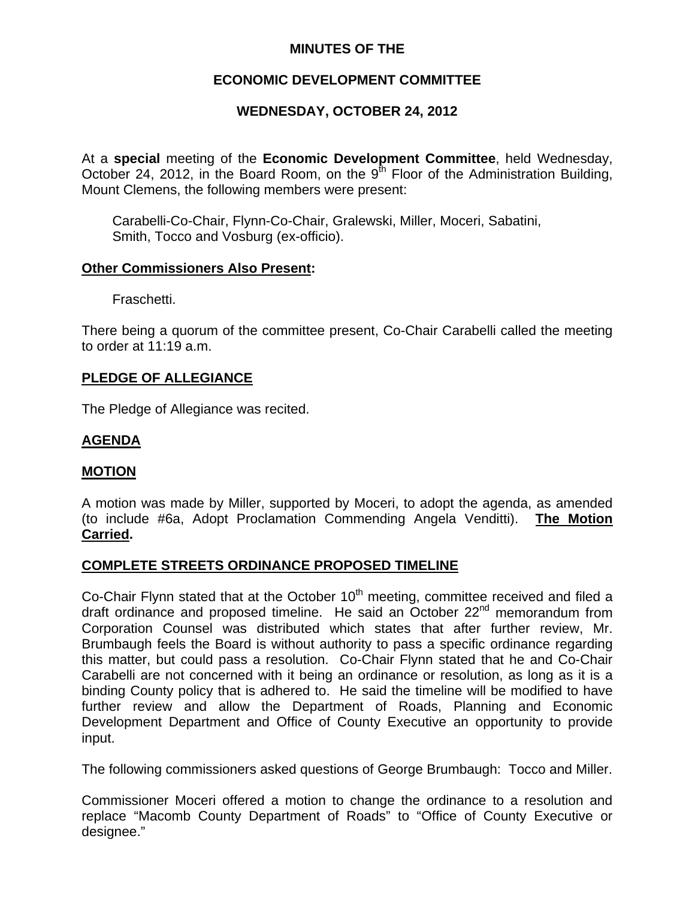## **MINUTES OF THE**

# **ECONOMIC DEVELOPMENT COMMITTEE**

# **WEDNESDAY, OCTOBER 24, 2012**

At a **special** meeting of the **Economic Development Committee**, held Wednesday, October 24, 2012, in the Board Room, on the  $9<sup>th</sup>$  Floor of the Administration Building, Mount Clemens, the following members were present:

 Carabelli-Co-Chair, Flynn-Co-Chair, Gralewski, Miller, Moceri, Sabatini, Smith, Tocco and Vosburg (ex-officio).

#### **Other Commissioners Also Present:**

Fraschetti.

There being a quorum of the committee present, Co-Chair Carabelli called the meeting to order at 11:19 a.m.

## **PLEDGE OF ALLEGIANCE**

The Pledge of Allegiance was recited.

# **AGENDA**

## **MOTION**

A motion was made by Miller, supported by Moceri, to adopt the agenda, as amended (to include #6a, Adopt Proclamation Commending Angela Venditti). **The Motion Carried.** 

## **COMPLETE STREETS ORDINANCE PROPOSED TIMELINE**

Co-Chair Flynn stated that at the October  $10<sup>th</sup>$  meeting, committee received and filed a draft ordinance and proposed timeline. He said an October 22<sup>nd</sup> memorandum from Corporation Counsel was distributed which states that after further review, Mr. Brumbaugh feels the Board is without authority to pass a specific ordinance regarding this matter, but could pass a resolution. Co-Chair Flynn stated that he and Co-Chair Carabelli are not concerned with it being an ordinance or resolution, as long as it is a binding County policy that is adhered to. He said the timeline will be modified to have further review and allow the Department of Roads, Planning and Economic Development Department and Office of County Executive an opportunity to provide input.

The following commissioners asked questions of George Brumbaugh: Tocco and Miller.

Commissioner Moceri offered a motion to change the ordinance to a resolution and replace "Macomb County Department of Roads" to "Office of County Executive or designee."